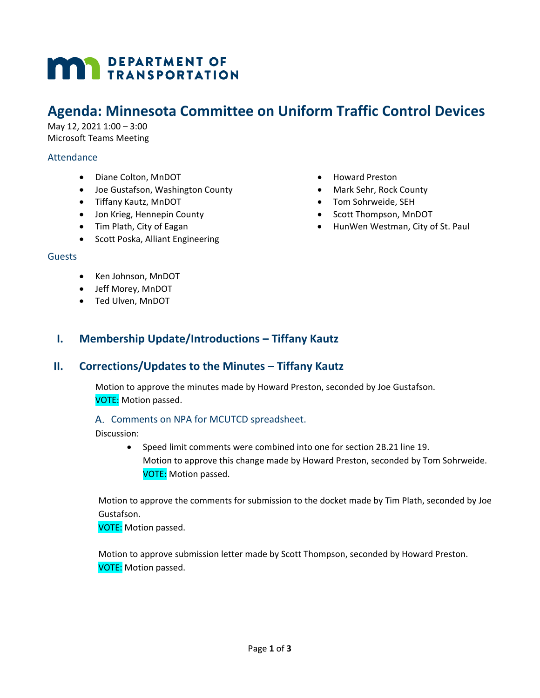# **MAN** DEPARTMENT OF

## **Agenda: Minnesota Committee on Uniform Traffic Control Devices**

May 12, 2021 1:00 – 3:00 Microsoft Teams Meeting

#### Attendance

- Diane Colton, MnDOT
- Joe Gustafson, Washington County
- Tiffany Kautz, MnDOT
- Jon Krieg, Hennepin County
- Tim Plath, City of Eagan
- Scott Poska, Alliant Engineering
- Guests
	- Ken Johnson, MnDOT
	- Jeff Morey, MnDOT
	- Ted Ulven, MnDOT
- Howard Preston
- Mark Sehr, Rock County
- Tom Sohrweide, SEH
- Scott Thompson, MnDOT
- HunWen Westman, City of St. Paul

**I. Membership Update/Introductions – Tiffany Kautz**

## **II. Corrections/Updates to the Minutes – Tiffany Kautz**

Motion to approve the minutes made by Howard Preston, seconded by Joe Gustafson. VOTE: Motion passed.

#### A. Comments on NPA for MCUTCD spreadsheet.

Discussion:

• Speed limit comments were combined into one for section 2B.21 line 19. Motion to approve this change made by Howard Preston, seconded by Tom Sohrweide. VOTE: Motion passed.

Motion to approve the comments for submission to the docket made by Tim Plath, seconded by Joe Gustafson.

VOTE: Motion passed.

Motion to approve submission letter made by Scott Thompson, seconded by Howard Preston. VOTE: Motion passed.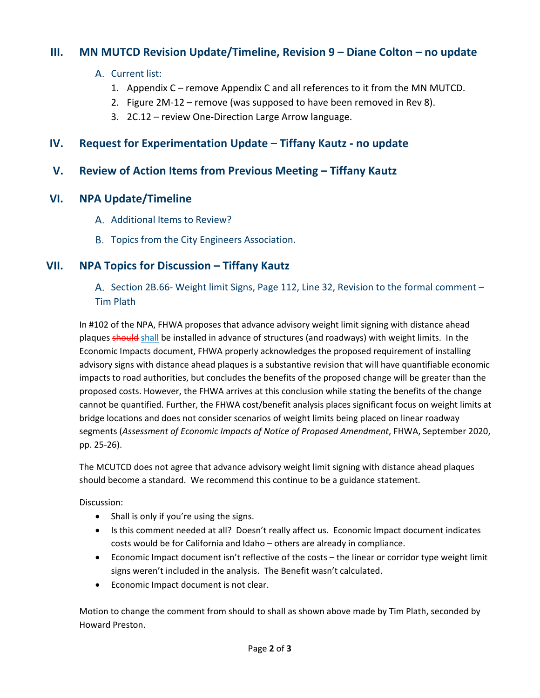## **III. MN MUTCD Revision Update/Timeline, Revision 9 – Diane Colton – no update**

- A. Current list:
	- 1. Appendix C remove Appendix C and all references to it from the MN MUTCD.
	- 2. Figure 2M-12 remove (was supposed to have been removed in Rev 8).
	- 3. 2C.12 review One-Direction Large Arrow language.

## **IV. Request for Experimentation Update – Tiffany Kautz - no update**

## **V. Review of Action Items from Previous Meeting – Tiffany Kautz**

### **VI. NPA Update/Timeline**

- A. Additional Items to Review?
- B. Topics from the City Engineers Association.

## **VII. NPA Topics for Discussion – Tiffany Kautz**

A. Section 2B.66- Weight limit Signs, Page 112, Line 32, Revision to the formal comment  $-$ Tim Plath

In #102 of the NPA, FHWA proposes that advance advisory weight limit signing with distance ahead plaques should shall be installed in advance of structures (and roadways) with weight limits. In the Economic Impacts document, FHWA properly acknowledges the proposed requirement of installing advisory signs with distance ahead plaques is a substantive revision that will have quantifiable economic impacts to road authorities, but concludes the benefits of the proposed change will be greater than the proposed costs. However, the FHWA arrives at this conclusion while stating the benefits of the change cannot be quantified. Further, the FHWA cost/benefit analysis places significant focus on weight limits at bridge locations and does not consider scenarios of weight limits being placed on linear roadway segments (*Assessment of Economic Impacts of Notice of Proposed Amendment*, FHWA, September 2020, pp. 25-26).

The MCUTCD does not agree that advance advisory weight limit signing with distance ahead plaques should become a standard. We recommend this continue to be a guidance statement.

Discussion:

- Shall is only if you're using the signs.
- Is this comment needed at all? Doesn't really affect us. Economic Impact document indicates costs would be for California and Idaho – others are already in compliance.
- Economic Impact document isn't reflective of the costs the linear or corridor type weight limit signs weren't included in the analysis. The Benefit wasn't calculated.
- Economic Impact document is not clear.

Motion to change the comment from should to shall as shown above made by Tim Plath, seconded by Howard Preston.